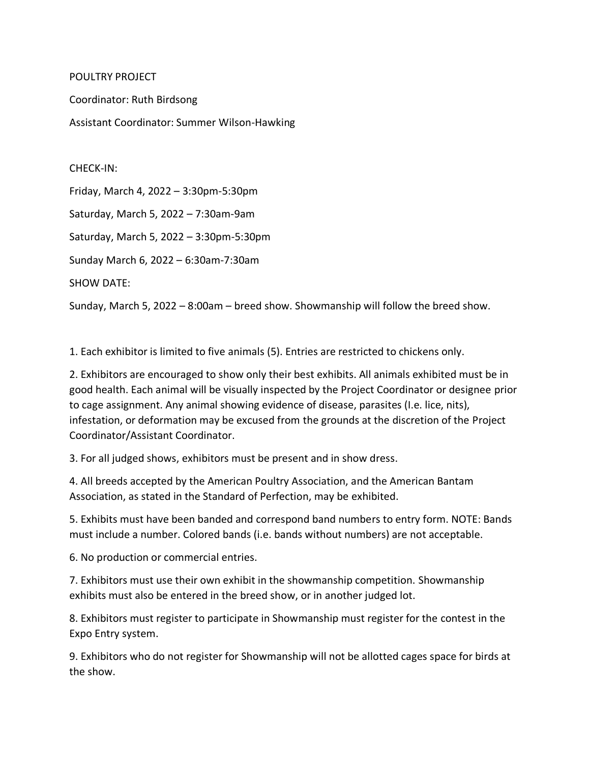## POULTRY PROJECT.

Coordinator: Ruth Birdsong Assistant Coordinator: Summer Wilson-Hawking

CHECK-IN: Friday, March 4, 2022 – 3:30pm-5:30pm Saturday, March 5, 2022 – 7:30am-9am Saturday, March 5, 2022 – 3:30pm-5:30pm Sunday March 6, 2022 – 6:30am-7:30am SHOW DATE:

Sunday, March 5, 2022 – 8:00am – breed show. Showmanship will follow the breed show.

1. Each exhibitor is limited to five animals (5). Entries are restricted to chickens only.

2. Exhibitors are encouraged to show only their best exhibits. All animals exhibited must be in good health. Each animal will be visually inspected by the Project Coordinator or designee prior to cage assignment. Any animal showing evidence of disease, parasites (I.e. lice, nits), infestation, or deformation may be excused from the grounds at the discretion of the Project Coordinator/Assistant Coordinator.

3. For all judged shows, exhibitors must be present and in show dress.

4. All breeds accepted by the American Poultry Association, and the American Bantam Association, as stated in the Standard of Perfection, may be exhibited.

5. Exhibits must have been banded and correspond band numbers to entry form. NOTE: Bands must include a number. Colored bands (i.e. bands without numbers) are not acceptable.

6. No production or commercial entries.

7. Exhibitors must use their own exhibit in the showmanship competition. Showmanship exhibits must also be entered in the breed show, or in another judged lot.

8. Exhibitors must register to participate in Showmanship must register for the contest in the Expo Entry system.

9. Exhibitors who do not register for Showmanship will not be allotted cages space for birds at the show.